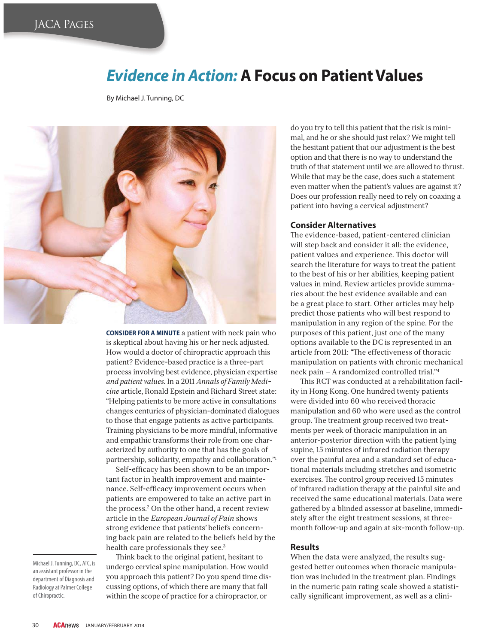# *Evidence in Action:* **A Focus on Patient Values**

By Michael J. Tunning, DC



**CONSIDER FOR A MINUTE** a patient with neck pain who is skeptical about having his or her neck adjusted. How would a doctor of chiropractic approach this patient? Evidence-based practice is a three-part process involving best evidence, physician expertise *and patient values*. In a 2011 *Annals of Family Medicine* article, Ronald Epstein and Richard Street state: "Helping patients to be more active in consultations changes centuries of physician-dominated dialogues to those that engage patients as active participants. Training physicians to be more mindful, informative and empathic transforms their role from one characterized by authority to one that has the goals of partnership, solidarity, empathy and collaboration."1

Self-efficacy has been shown to be an important factor in health improvement and maintenance. Self-efficacy improvement occurs when patients are empowered to take an active part in the process.2 On the other hand, a recent review article in the *European Journal of Pain* shows strong evidence that patients' beliefs concerning back pain are related to the beliefs held by the health care professionals they see.<sup>3</sup>

Think back to the original patient, hesitant to undergo cervical spine manipulation. How would you approach this patient? Do you spend time discussing options, of which there are many that fall within the scope of practice for a chiropractor, or

do you try to tell this patient that the risk is minimal, and he or she should just relax? We might tell the hesitant patient that our adjustment is the best option and that there is no way to understand the truth of that statement until we are allowed to thrust. While that may be the case, does such a statement even matter when the patient's values are against it? Does our profession really need to rely on coaxing a patient into having a cervical adjustment?

### **Consider Alternatives**

The evidence-based, patient-centered clinician will step back and consider it all: the evidence, patient values and experience. This doctor will search the literature for ways to treat the patient to the best of his or her abilities, keeping patient values in mind. Review articles provide summaries about the best evidence available and can be a great place to start. Other articles may help predict those patients who will best respond to manipulation in any region of the spine. For the purposes of this patient, just one of the many options available to the DC is represented in an article from 2011: "The effectiveness of thoracic manipulation on patients with chronic mechanical neck pain — A randomized controlled trial."4

This RCT was conducted at a rehabilitation facility in Hong Kong. One hundred twenty patients were divided into 60 who received thoracic manipulation and 60 who were used as the control group. The treatment group received two treatments per week of thoracic manipulation in an anterior-posterior direction with the patient lying supine, 15 minutes of infrared radiation therapy over the painful area and a standard set of educational materials including stretches and isometric exercises. The control group received 15 minutes of infrared radiation therapy at the painful site and received the same educational materials. Data were gathered by a blinded assessor at baseline, immediately after the eight treatment sessions, at threemonth follow-up and again at six-month follow-up.

#### **Results**

When the data were analyzed, the results suggested better outcomes when thoracic manipulation was included in the treatment plan. Findings in the numeric pain rating scale showed a statistically significant improvement, as well as a clini-

Michael J. Tunning, DC, ATC, is an assistant professor in the department of Diagnosis and Radiology at Palmer College of Chiropractic.